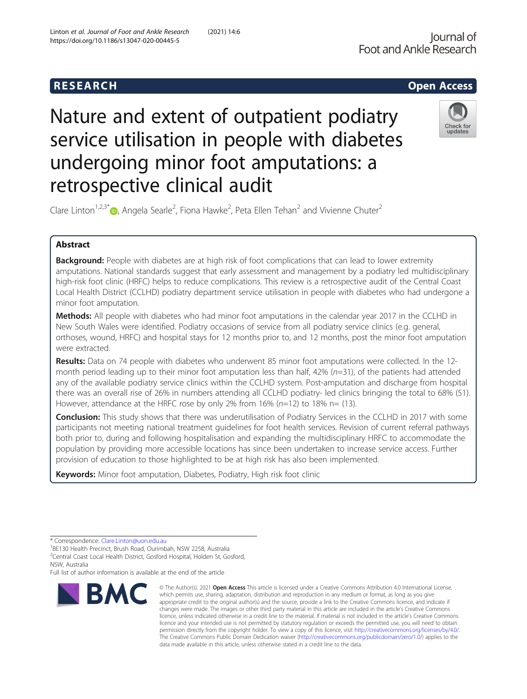# Nature and extent of outpatient podiatry service utilisation in people with diabetes undergoing minor foot amputations: a retrospective clinical audit



Clare Linton<sup>1,2,3[\\*](http://orcid.org/0000-0002-5192-0638)</sup> $\bullet$ , Angela Searle<sup>2</sup>, Fiona Hawke<sup>2</sup>, Peta Ellen Tehan<sup>2</sup> and Vivienne Chuter<sup>2</sup>

# Abstract

**Background:** People with diabetes are at high risk of foot complications that can lead to lower extremity amputations. National standards suggest that early assessment and management by a podiatry led multidisciplinary high-risk foot clinic (HRFC) helps to reduce complications. This review is a retrospective audit of the Central Coast Local Health District (CCLHD) podiatry department service utilisation in people with diabetes who had undergone a minor foot amputation.

Methods: All people with diabetes who had minor foot amputations in the calendar year 2017 in the CCLHD in New South Wales were identified. Podiatry occasions of service from all podiatry service clinics (e.g. general, orthoses, wound, HRFC) and hospital stays for 12 months prior to, and 12 months, post the minor foot amputation were extracted.

Results: Data on 74 people with diabetes who underwent 85 minor foot amputations were collected. In the 12month period leading up to their minor foot amputation less than half,  $42\%$  ( $n=31$ ), of the patients had attended any of the available podiatry service clinics within the CCLHD system. Post-amputation and discharge from hospital there was an overall rise of 26% in numbers attending all CCLHD podiatry- led clinics bringing the total to 68% (51). However, attendance at the HRFC rose by only 2% from 16% ( $n=12$ ) to 18% n= (13).

**Conclusion:** This study shows that there was underutilisation of Podiatry Services in the CCLHD in 2017 with some participants not meeting national treatment guidelines for foot health services. Revision of current referral pathways both prior to, during and following hospitalisation and expanding the multidisciplinary HRFC to accommodate the population by providing more accessible locations has since been undertaken to increase service access. Further provision of education to those highlighted to be at high risk has also been implemented.

Keywords: Minor foot amputation, Diabetes, Podiatry, High risk foot clinic

BE130 Health Precinct, Brush Road, Ourimbah, NSW 2258, Australia <sup>2</sup>Central Coast Local Health District, Gosford Hospital, Holden St, Gosford,

**BMC** 

<sup>\*</sup> Correspondence: [Clare.Linton@uon.edu.au](mailto:Clare.Linton@uon.edu.au) <sup>1</sup>

NSW, Australia Full list of author information is available at the end of the article

<sup>©</sup> The Author(s), 2021 **Open Access** This article is licensed under a Creative Commons Attribution 4.0 International License, which permits use, sharing, adaptation, distribution and reproduction in any medium or format, as long as you give appropriate credit to the original author(s) and the source, provide a link to the Creative Commons licence, and indicate if changes were made. The images or other third party material in this article are included in the article's Creative Commons licence, unless indicated otherwise in a credit line to the material. If material is not included in the article's Creative Commons licence and your intended use is not permitted by statutory regulation or exceeds the permitted use, you will need to obtain permission directly from the copyright holder. To view a copy of this licence, visit [http://creativecommons.org/licenses/by/4.0/.](http://creativecommons.org/licenses/by/4.0/) The Creative Commons Public Domain Dedication waiver [\(http://creativecommons.org/publicdomain/zero/1.0/](http://creativecommons.org/publicdomain/zero/1.0/)) applies to the data made available in this article, unless otherwise stated in a credit line to the data.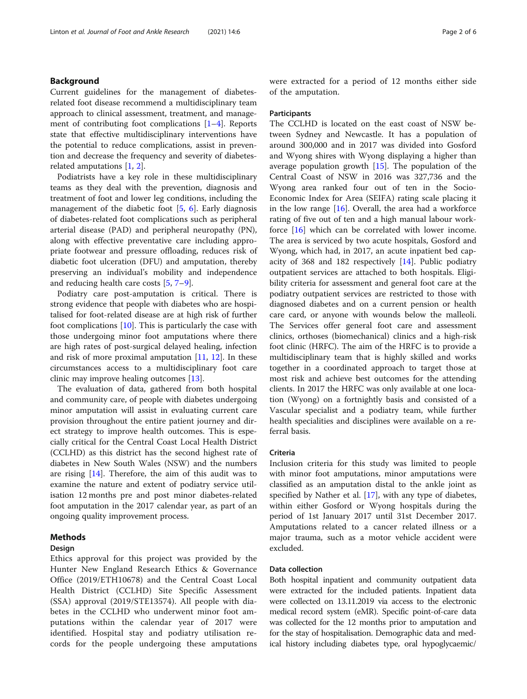# Background

Current guidelines for the management of diabetesrelated foot disease recommend a multidisciplinary team approach to clinical assessment, treatment, and management of contributing foot complications [[1](#page-5-0)–[4\]](#page-5-0). Reports state that effective multidisciplinary interventions have the potential to reduce complications, assist in prevention and decrease the frequency and severity of diabetesrelated amputations [\[1](#page-5-0), [2](#page-5-0)].

Podiatrists have a key role in these multidisciplinary teams as they deal with the prevention, diagnosis and treatment of foot and lower leg conditions, including the management of the diabetic foot [[5](#page-5-0), [6\]](#page-5-0). Early diagnosis of diabetes-related foot complications such as peripheral arterial disease (PAD) and peripheral neuropathy (PN), along with effective preventative care including appropriate footwear and pressure offloading, reduces risk of diabetic foot ulceration (DFU) and amputation, thereby preserving an individual's mobility and independence and reducing health care costs [[5](#page-5-0), [7](#page-5-0)–[9](#page-5-0)].

Podiatry care post-amputation is critical. There is strong evidence that people with diabetes who are hospitalised for foot-related disease are at high risk of further foot complications  $[10]$  $[10]$ . This is particularly the case with those undergoing minor foot amputations where there are high rates of post-surgical delayed healing, infection and risk of more proximal amputation  $[11, 12]$  $[11, 12]$  $[11, 12]$ . In these circumstances access to a multidisciplinary foot care clinic may improve healing outcomes [[13\]](#page-5-0).

The evaluation of data, gathered from both hospital and community care, of people with diabetes undergoing minor amputation will assist in evaluating current care provision throughout the entire patient journey and direct strategy to improve health outcomes. This is especially critical for the Central Coast Local Health District (CCLHD) as this district has the second highest rate of diabetes in New South Wales (NSW) and the numbers are rising  $[14]$  $[14]$  $[14]$ . Therefore, the aim of this audit was to examine the nature and extent of podiatry service utilisation 12 months pre and post minor diabetes-related foot amputation in the 2017 calendar year, as part of an ongoing quality improvement process.

# Methods

# Design

Ethics approval for this project was provided by the Hunter New England Research Ethics & Governance Office (2019/ETH10678) and the Central Coast Local Health District (CCLHD) Site Specific Assessment (SSA) approval (2019/STE13574). All people with diabetes in the CCLHD who underwent minor foot amputations within the calendar year of 2017 were identified. Hospital stay and podiatry utilisation records for the people undergoing these amputations were extracted for a period of 12 months either side of the amputation.

#### **Participants**

The CCLHD is located on the east coast of NSW between Sydney and Newcastle. It has a population of around 300,000 and in 2017 was divided into Gosford and Wyong shires with Wyong displaying a higher than average population growth  $[15]$  $[15]$  $[15]$ . The population of the Central Coast of NSW in 2016 was 327,736 and the Wyong area ranked four out of ten in the Socio-Economic Index for Area (SEIFA) rating scale placing it in the low range  $[16]$ . Overall, the area had a workforce rating of five out of ten and a high manual labour work-force [[16\]](#page-5-0) which can be correlated with lower income. The area is serviced by two acute hospitals, Gosford and Wyong, which had, in 2017, an acute inpatient bed capacity of 368 and 182 respectively [[14\]](#page-5-0). Public podiatry outpatient services are attached to both hospitals. Eligibility criteria for assessment and general foot care at the podiatry outpatient services are restricted to those with diagnosed diabetes and on a current pension or health care card, or anyone with wounds below the malleoli. The Services offer general foot care and assessment clinics, orthoses (biomechanical) clinics and a high-risk foot clinic (HRFC). The aim of the HRFC is to provide a multidisciplinary team that is highly skilled and works together in a coordinated approach to target those at most risk and achieve best outcomes for the attending clients. In 2017 the HRFC was only available at one location (Wyong) on a fortnightly basis and consisted of a Vascular specialist and a podiatry team, while further health specialities and disciplines were available on a referral basis.

# Criteria

Inclusion criteria for this study was limited to people with minor foot amputations, minor amputations were classified as an amputation distal to the ankle joint as specified by Nather et al. [\[17](#page-5-0)], with any type of diabetes, within either Gosford or Wyong hospitals during the period of 1st January 2017 until 31st December 2017. Amputations related to a cancer related illness or a major trauma, such as a motor vehicle accident were excluded.

# Data collection

Both hospital inpatient and community outpatient data were extracted for the included patients. Inpatient data were collected on 13.11.2019 via access to the electronic medical record system (eMR). Specific point-of-care data was collected for the 12 months prior to amputation and for the stay of hospitalisation. Demographic data and medical history including diabetes type, oral hypoglycaemic/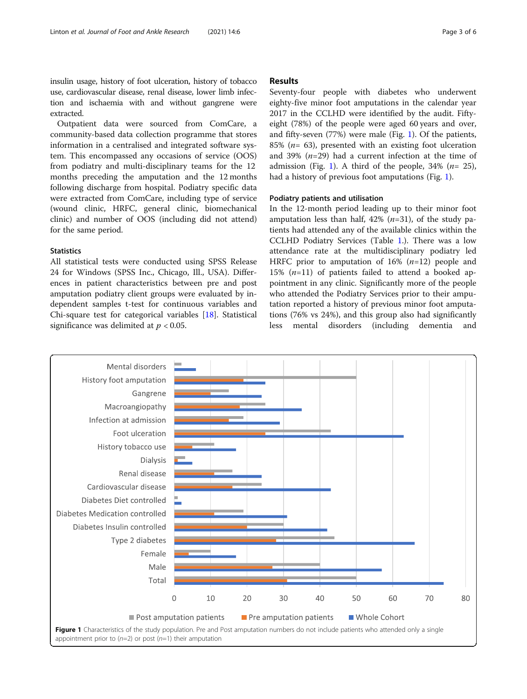<span id="page-2-0"></span>insulin usage, history of foot ulceration, history of tobacco use, cardiovascular disease, renal disease, lower limb infection and ischaemia with and without gangrene were extracted.

Outpatient data were sourced from ComCare, a community-based data collection programme that stores information in a centralised and integrated software system. This encompassed any occasions of service (OOS) from podiatry and multi-disciplinary teams for the 12 months preceding the amputation and the 12 months following discharge from hospital. Podiatry specific data were extracted from ComCare, including type of service (wound clinic, HRFC, general clinic, biomechanical clinic) and number of OOS (including did not attend) for the same period.

# **Statistics**

All statistical tests were conducted using SPSS Release 24 for Windows (SPSS Inc., Chicago, Ill., USA). Differences in patient characteristics between pre and post amputation podiatry client groups were evaluated by independent samples t-test for continuous variables and Chi-square test for categorical variables [[18\]](#page-5-0). Statistical significance was delimited at  $p < 0.05$ .

# Results

Seventy-four people with diabetes who underwent eighty-five minor foot amputations in the calendar year 2017 in the CCLHD were identified by the audit. Fiftyeight (78%) of the people were aged 60 years and over, and fifty-seven (77%) were male (Fig. 1). Of the patients, 85% ( $n=$  63), presented with an existing foot ulceration and 39%  $(n=29)$  had a current infection at the time of admission (Fig. 1). A third of the people,  $34\%$  ( $n=25$ ), had a history of previous foot amputations (Fig. 1).

# Podiatry patients and utilisation

In the 12-month period leading up to their minor foot amputation less than half, 42%  $(n=31)$ , of the study patients had attended any of the available clinics within the CCLHD Podiatry Services (Table [1](#page-3-0).). There was a low attendance rate at the multidisciplinary podiatry led HRFC prior to amputation of  $16\%$  ( $n=12$ ) people and 15%  $(n=11)$  of patients failed to attend a booked appointment in any clinic. Significantly more of the people who attended the Podiatry Services prior to their amputation reported a history of previous minor foot amputations (76% vs 24%), and this group also had significantly less mental disorders (including dementia and

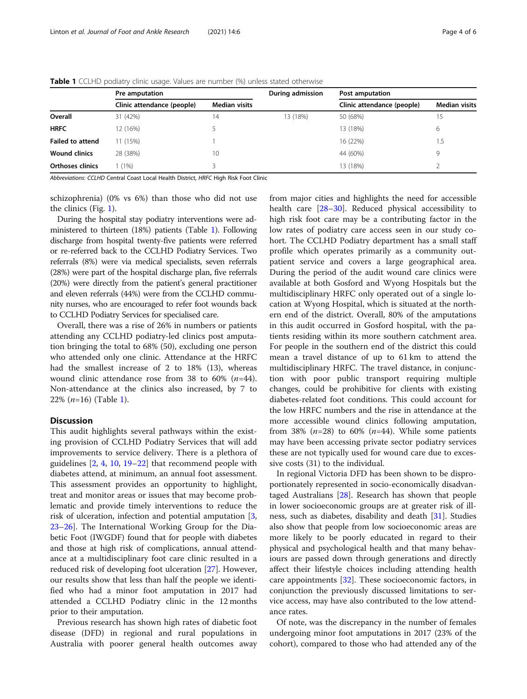|                         | Pre amputation             |               | During admission | Post amputation            |                      |
|-------------------------|----------------------------|---------------|------------------|----------------------------|----------------------|
|                         | Clinic attendance (people) | Median visits |                  | Clinic attendance (people) | <b>Median visits</b> |
| Overall                 | 31 (42%)                   | 14            | 13 (18%)         | 50 (68%)                   | 15                   |
| <b>HRFC</b>             | 12 (16%)                   |               |                  | 13 (18%)                   | 6                    |
| <b>Failed to attend</b> | 11 (15%)                   |               |                  | 16 (22%)                   | $1.5\,$              |
| <b>Wound clinics</b>    | 28 (38%)                   | 10            |                  | 44 (60%)                   | 9                    |
| <b>Orthoses clinics</b> | 1 (1%)                     |               |                  | 13 (18%)                   |                      |

<span id="page-3-0"></span>Table 1 CCLHD podiatry clinic usage. Values are number (%) unless stated otherwise

Abbreviations: CCLHD Central Coast Local Health District, HRFC High Risk Foot Clinic

schizophrenia) (0% vs 6%) than those who did not use the clinics (Fig. [1\)](#page-2-0).

During the hospital stay podiatry interventions were administered to thirteen (18%) patients (Table 1). Following discharge from hospital twenty-five patients were referred or re-referred back to the CCLHD Podiatry Services. Two referrals (8%) were via medical specialists, seven referrals (28%) were part of the hospital discharge plan, five referrals (20%) were directly from the patient's general practitioner and eleven referrals (44%) were from the CCLHD community nurses, who are encouraged to refer foot wounds back to CCLHD Podiatry Services for specialised care.

Overall, there was a rise of 26% in numbers or patients attending any CCLHD podiatry-led clinics post amputation bringing the total to 68% (50), excluding one person who attended only one clinic. Attendance at the HRFC had the smallest increase of 2 to 18% (13), whereas wound clinic attendance rose from 38 to 60%  $(n=44)$ . Non-attendance at the clinics also increased, by 7 to 22%  $(n=16)$  (Table 1).

# **Discussion**

This audit highlights several pathways within the existing provision of CCLHD Podiatry Services that will add improvements to service delivery. There is a plethora of guidelines [[2,](#page-5-0) [4,](#page-5-0) [10](#page-5-0), [19](#page-5-0)–[22\]](#page-5-0) that recommend people with diabetes attend, at minimum, an annual foot assessment. This assessment provides an opportunity to highlight, treat and monitor areas or issues that may become problematic and provide timely interventions to reduce the risk of ulceration, infection and potential amputation [[3](#page-5-0), [23](#page-5-0)–[26](#page-5-0)]. The International Working Group for the Diabetic Foot (IWGDF) found that for people with diabetes and those at high risk of complications, annual attendance at a multidisciplinary foot care clinic resulted in a reduced risk of developing foot ulceration [[27\]](#page-5-0). However, our results show that less than half the people we identified who had a minor foot amputation in 2017 had attended a CCLHD Podiatry clinic in the 12 months prior to their amputation.

Previous research has shown high rates of diabetic foot disease (DFD) in regional and rural populations in Australia with poorer general health outcomes away from major cities and highlights the need for accessible health care [\[28](#page-5-0)–[30\]](#page-5-0). Reduced physical accessibility to high risk foot care may be a contributing factor in the low rates of podiatry care access seen in our study cohort. The CCLHD Podiatry department has a small staff profile which operates primarily as a community outpatient service and covers a large geographical area. During the period of the audit wound care clinics were available at both Gosford and Wyong Hospitals but the multidisciplinary HRFC only operated out of a single location at Wyong Hospital, which is situated at the northern end of the district. Overall, 80% of the amputations in this audit occurred in Gosford hospital, with the patients residing within its more southern catchment area. For people in the southern end of the district this could mean a travel distance of up to 61 km to attend the multidisciplinary HRFC. The travel distance, in conjunction with poor public transport requiring multiple changes, could be prohibitive for clients with existing diabetes-related foot conditions. This could account for the low HRFC numbers and the rise in attendance at the more accessible wound clinics following amputation, from 38% ( $n=28$ ) to 60% ( $n=44$ ). While some patients may have been accessing private sector podiatry services these are not typically used for wound care due to excessive costs (31) to the individual.

In regional Victoria DFD has been shown to be disproportionately represented in socio-economically disadvantaged Australians [[28\]](#page-5-0). Research has shown that people in lower socioeconomic groups are at greater risk of illness, such as diabetes, disability and death [\[31\]](#page-5-0). Studies also show that people from low socioeconomic areas are more likely to be poorly educated in regard to their physical and psychological health and that many behaviours are passed down through generations and directly affect their lifestyle choices including attending health care appointments [\[32](#page-5-0)]. These socioeconomic factors, in conjunction the previously discussed limitations to service access, may have also contributed to the low attendance rates.

Of note, was the discrepancy in the number of females undergoing minor foot amputations in 2017 (23% of the cohort), compared to those who had attended any of the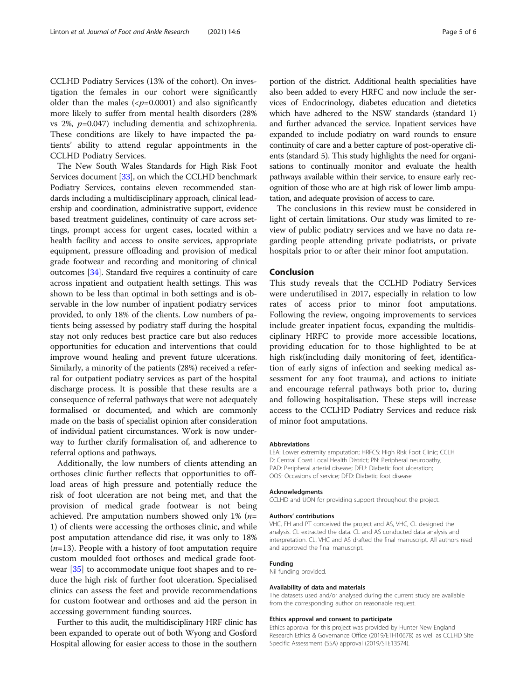CCLHD Podiatry Services (13% of the cohort). On investigation the females in our cohort were significantly older than the males  $({\langle}p=0.0001)$  and also significantly more likely to suffer from mental health disorders (28% vs 2%,  $p=0.047$ ) including dementia and schizophrenia. These conditions are likely to have impacted the patients' ability to attend regular appointments in the CCLHD Podiatry Services.

The New South Wales Standards for High Risk Foot Services document [[33](#page-5-0)], on which the CCLHD benchmark Podiatry Services, contains eleven recommended standards including a multidisciplinary approach, clinical leadership and coordination, administrative support, evidence based treatment guidelines, continuity of care across settings, prompt access for urgent cases, located within a health facility and access to onsite services, appropriate equipment, pressure offloading and provision of medical grade footwear and recording and monitoring of clinical outcomes [[34](#page-5-0)]. Standard five requires a continuity of care across inpatient and outpatient health settings. This was shown to be less than optimal in both settings and is observable in the low number of inpatient podiatry services provided, to only 18% of the clients. Low numbers of patients being assessed by podiatry staff during the hospital stay not only reduces best practice care but also reduces opportunities for education and interventions that could improve wound healing and prevent future ulcerations. Similarly, a minority of the patients (28%) received a referral for outpatient podiatry services as part of the hospital discharge process. It is possible that these results are a consequence of referral pathways that were not adequately formalised or documented, and which are commonly made on the basis of specialist opinion after consideration of individual patient circumstances. Work is now underway to further clarify formalisation of, and adherence to referral options and pathways.

Additionally, the low numbers of clients attending an orthoses clinic further reflects that opportunities to offload areas of high pressure and potentially reduce the risk of foot ulceration are not being met, and that the provision of medical grade footwear is not being achieved. Pre amputation numbers showed only 1% ( $n=$ 1) of clients were accessing the orthoses clinic, and while post amputation attendance did rise, it was only to 18%  $(n=13)$ . People with a history of foot amputation require custom moulded foot orthoses and medical grade footwear [\[35\]](#page-5-0) to accommodate unique foot shapes and to reduce the high risk of further foot ulceration. Specialised clinics can assess the feet and provide recommendations for custom footwear and orthoses and aid the person in accessing government funding sources.

Further to this audit, the multidisciplinary HRF clinic has been expanded to operate out of both Wyong and Gosford Hospital allowing for easier access to those in the southern

portion of the district. Additional health specialities have also been added to every HRFC and now include the services of Endocrinology, diabetes education and dietetics which have adhered to the NSW standards (standard 1) and further advanced the service. Inpatient services have expanded to include podiatry on ward rounds to ensure continuity of care and a better capture of post-operative clients (standard 5). This study highlights the need for organisations to continually monitor and evaluate the health pathways available within their service, to ensure early recognition of those who are at high risk of lower limb amputation, and adequate provision of access to care.

The conclusions in this review must be considered in light of certain limitations. Our study was limited to review of public podiatry services and we have no data regarding people attending private podiatrists, or private hospitals prior to or after their minor foot amputation.

#### Conclusion

This study reveals that the CCLHD Podiatry Services were underutilised in 2017, especially in relation to low rates of access prior to minor foot amputations. Following the review, ongoing improvements to services include greater inpatient focus, expanding the multidisciplinary HRFC to provide more accessible locations, providing education for to those highlighted to be at high risk(including daily monitoring of feet, identification of early signs of infection and seeking medical assessment for any foot trauma), and actions to initiate and encourage referral pathways both prior to, during and following hospitalisation. These steps will increase access to the CCLHD Podiatry Services and reduce risk of minor foot amputations.

#### Abbreviations

LEA: Lower extremity amputation; HRFCS: High Risk Foot Clinic; CCLH D: Central Coast Local Health District; PN: Peripheral neuropathy; PAD: Peripheral arterial disease; DFU: Diabetic foot ulceration; OOS: Occasions of service; DFD: Diabetic foot disease

#### Acknowledgments

CCLHD and UON for providing support throughout the project.

#### Authors' contributions

VHC, FH and PT conceived the project and AS, VHC, CL designed the analysis. CL extracted the data. CL and AS conducted data analysis and interpretation. CL, VHC and AS drafted the final manuscript. All authors read and approved the final manuscript.

#### Funding

Nil funding provided.

#### Availability of data and materials

The datasets used and/or analysed during the current study are available from the corresponding author on reasonable request.

#### Ethics approval and consent to participate

Ethics approval for this project was provided by Hunter New England Research Ethics & Governance Office (2019/ETH10678) as well as CCLHD Site Specific Assessment (SSA) approval (2019/STE13574).